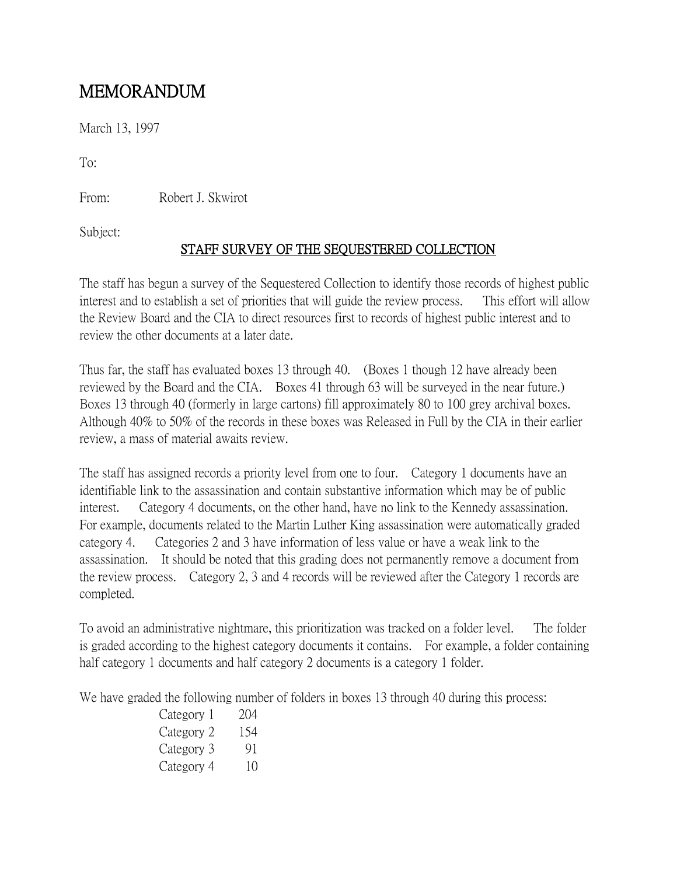## MEMORANDUM

March 13, 1997

To:

From: Robert J. Skwirot

Subject:

## STAFF SURVEY OF THE SEQUESTERED COLLECTION

The staff has begun a survey of the Sequestered Collection to identify those records of highest public interest and to establish a set of priorities that will guide the review process. This effort will allow the Review Board and the CIA to direct resources first to records of highest public interest and to review the other documents at a later date.

Thus far, the staff has evaluated boxes 13 through 40. (Boxes 1 though 12 have already been reviewed by the Board and the CIA. Boxes 41 through 63 will be surveyed in the near future.) Boxes 13 through 40 (formerly in large cartons) fill approximately 80 to 100 grey archival boxes. Although 40% to 50% of the records in these boxes was Released in Full by the CIA in their earlier review, a mass of material awaits review.

The staff has assigned records a priority level from one to four. Category 1 documents have an identifiable link to the assassination and contain substantive information which may be of public interest. Category 4 documents, on the other hand, have no link to the Kennedy assassination. For example, documents related to the Martin Luther King assassination were automatically graded category 4. Categories 2 and 3 have information of less value or have a weak link to the assassination. It should be noted that this grading does not permanently remove a document from the review process. Category 2, 3 and 4 records will be reviewed after the Category 1 records are completed.

To avoid an administrative nightmare, this prioritization was tracked on a folder level. The folder is graded according to the highest category documents it contains. For example, a folder containing half category 1 documents and half category 2 documents is a category 1 folder.

We have graded the following number of folders in boxes 13 through 40 during this process:

| Category 1 | 204 |
|------------|-----|
| Category 2 | 154 |
| Category 3 | 91  |
| Category 4 | 10  |